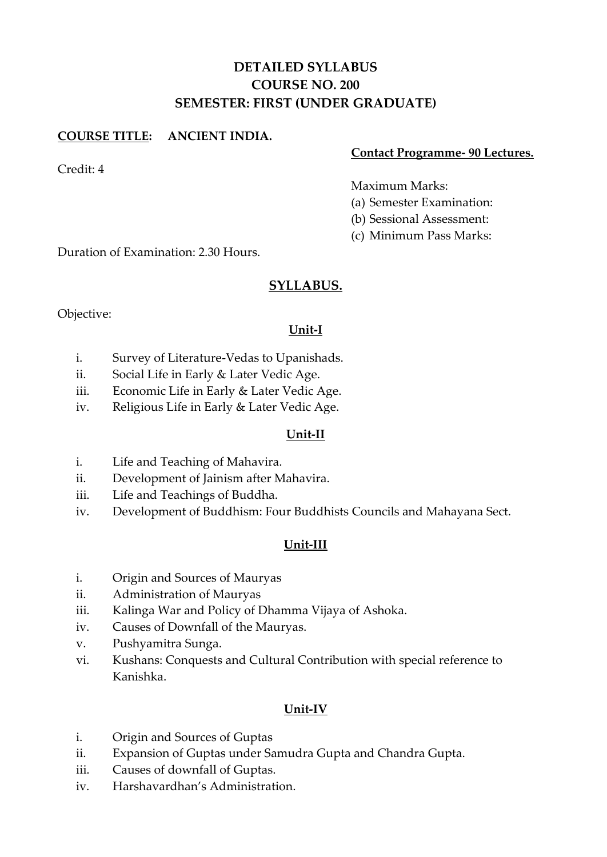# **DETAILED SYLLABUS COURSE NO. 200 SEMESTER: FIRST (UNDER GRADUATE)**

# **COURSE TITLE: ANCIENT INDIA.**

## **Contact Programme- 90 Lectures.**

Credit: 4

#### Maximum Marks:

- (a) Semester Examination:
- (b) Sessional Assessment:
- (c) Minimum Pass Marks:

Duration of Examination: 2.30 Hours.

# **SYLLABUS.**

Objective:

## **Unit-I**

- i. Survey of Literature-Vedas to Upanishads.
- ii. Social Life in Early & Later Vedic Age.
- iii. Economic Life in Early & Later Vedic Age.
- iv. Religious Life in Early & Later Vedic Age.

#### **Unit-II**

- i. Life and Teaching of Mahavira.
- ii. Development of Jainism after Mahavira.
- iii. Life and Teachings of Buddha.
- iv. Development of Buddhism: Four Buddhists Councils and Mahayana Sect.

# **Unit-III**

- i. Origin and Sources of Mauryas
- ii. Administration of Mauryas
- iii. Kalinga War and Policy of Dhamma Vijaya of Ashoka.
- iv. Causes of Downfall of the Mauryas.
- v. Pushyamitra Sunga.
- vi. Kushans: Conquests and Cultural Contribution with special reference to Kanishka.

#### **Unit-IV**

- i. Origin and Sources of Guptas
- ii. Expansion of Guptas under Samudra Gupta and Chandra Gupta.
- iii. Causes of downfall of Guptas.
- iv. Harshavardhan's Administration.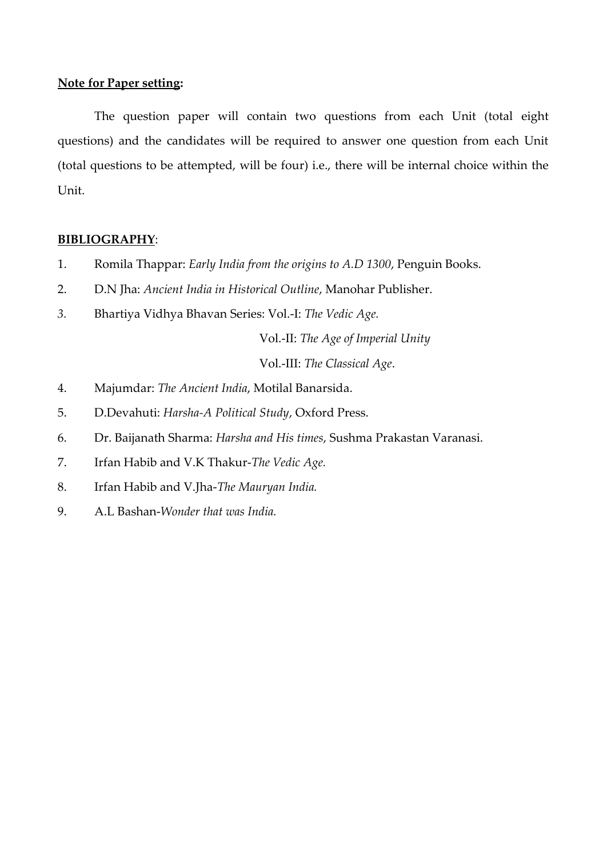The question paper will contain two questions from each Unit (total eight questions) and the candidates will be required to answer one question from each Unit (total questions to be attempted, will be four) i.e., there will be internal choice within the Unit.

#### **BIBLIOGRAPHY**:

- 1. Romila Thappar: *Early India from the origins to A.D 1300*, Penguin Books.
- 2. D.N Jha: *Ancient India in Historical Outline*, Manohar Publisher.
- *3.* Bhartiya Vidhya Bhavan Series: Vol.-I: *The Vedic Age.*

Vol.-II: *The Age of Imperial Unity*

Vol.-III: *The Classical Age*.

- 4. Majumdar: *The Ancient India*, Motilal Banarsida.
- 5. D.Devahuti: *Harsha-A Political Study*, Oxford Press.
- 6. Dr. Baijanath Sharma: *Harsha and His times*, Sushma Prakastan Varanasi.
- 7. Irfan Habib and V.K Thakur-*The Vedic Age.*
- 8. Irfan Habib and V.Jha-*The Mauryan India.*
- 9. A.L Bashan-*Wonder that was India.*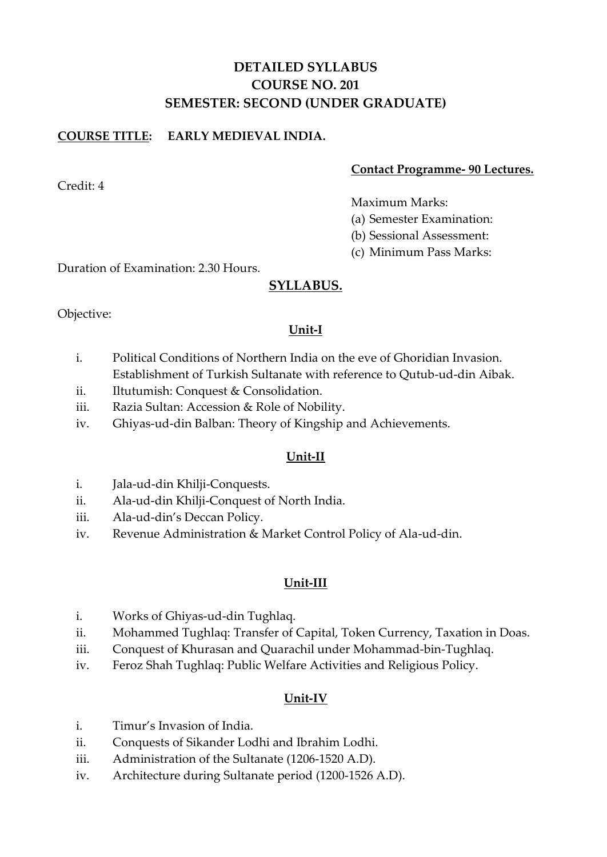# **DETAILED SYLLABUS COURSE NO. 201 SEMESTER: SECOND (UNDER GRADUATE)**

# **COURSE TITLE: EARLY MEDIEVAL INDIA.**

## **Contact Programme- 90 Lectures.**

Maximum Marks:

- (a) Semester Examination:
- (b) Sessional Assessment:
- (c) Minimum Pass Marks:

Duration of Examination: 2.30 Hours.

# **SYLLABUS.**

Objective:

# **Unit-I**

- i. Political Conditions of Northern India on the eve of Ghoridian Invasion. Establishment of Turkish Sultanate with reference to Qutub-ud-din Aibak.
- ii. Iltutumish: Conquest & Consolidation.
- iii. Razia Sultan: Accession & Role of Nobility.
- iv. Ghiyas-ud-din Balban: Theory of Kingship and Achievements.

# **Unit-II**

- i. Jala-ud-din Khilji-Conquests.
- ii. Ala-ud-din Khilji-Conquest of North India.
- iii. Ala-ud-din's Deccan Policy.
- iv. Revenue Administration & Market Control Policy of Ala-ud-din.

# **Unit-III**

- i. Works of Ghiyas-ud-din Tughlaq.
- ii. Mohammed Tughlaq: Transfer of Capital, Token Currency, Taxation in Doas.
- iii. Conquest of Khurasan and Quarachil under Mohammad-bin-Tughlaq.
- iv. Feroz Shah Tughlaq: Public Welfare Activities and Religious Policy.

# **Unit-IV**

- i. Timur's Invasion of India.
- ii. Conquests of Sikander Lodhi and Ibrahim Lodhi.
- iii. Administration of the Sultanate (1206-1520 A.D).
- iv. Architecture during Sultanate period (1200-1526 A.D).

Credit: 4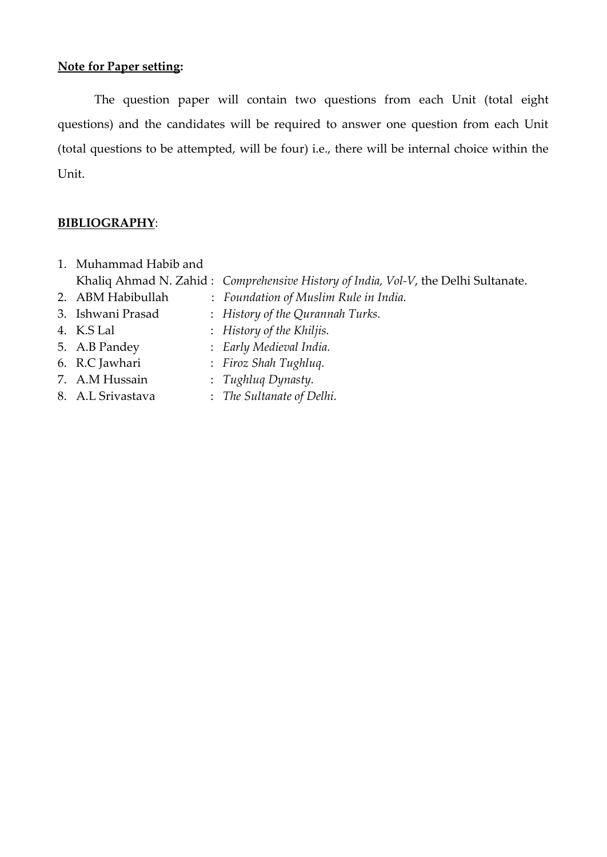The question paper will contain two questions from each Unit (total eight questions) and the candidates will be required to answer one question from each Unit (total questions to be attempted, will be four) i.e., there will be internal choice within the Unit.

#### **BIBLIOGRAPHY**:

- 1. Muhammad Habib and
	- Khaliq Ahmad N. Zahid : *Comprehensive History of India, Vol-V*, the Delhi Sultanate.
- 2. ABM Habibullah : *Foundation of Muslim Rule in India.*
- 3. Ishwani Prasad : *History of the Qurannah Turks.*
- 
- 4. K.S Lal : *History of the Khiljis.*
- 
- 
- 
- 
- 5. A.B Pandey : *Early Medieval India.*
- 6. R.C Jawhari : *Firoz Shah Tughluq.*
- 7. A.M Hussain : *Tughluq Dynasty.*
- 8. A.L Srivastava : *The Sultanate of Delhi.*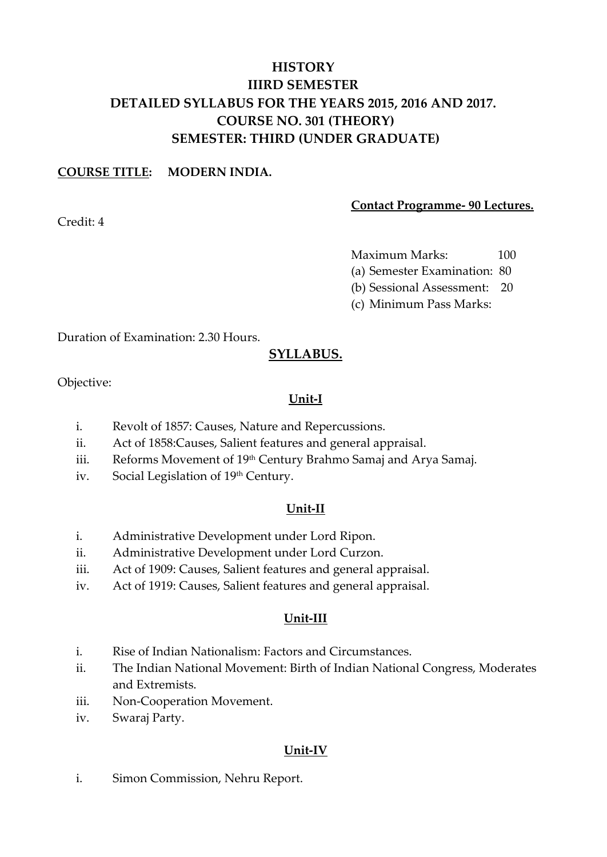# **HISTORY IIIRD SEMESTER DETAILED SYLLABUS FOR THE YEARS 2015, 2016 AND 2017. COURSE NO. 301 (THEORY) SEMESTER: THIRD (UNDER GRADUATE)**

## **COURSE TITLE: MODERN INDIA.**

Credit: 4

#### **Contact Programme- 90 Lectures.**

Maximum Marks: 100

(a) Semester Examination: 80

(b) Sessional Assessment: 20

(c) Minimum Pass Marks:

Duration of Examination: 2.30 Hours.

# **SYLLABUS.**

Objective:

# **Unit-I**

- i. Revolt of 1857: Causes, Nature and Repercussions.
- ii. Act of 1858:Causes, Salient features and general appraisal.
- iii. Reforms Movement of 19<sup>th</sup> Century Brahmo Samaj and Arya Samaj.
- iv. Social Legislation of 19th Century.

# **Unit-II**

- i. Administrative Development under Lord Ripon.
- ii. Administrative Development under Lord Curzon.
- iii. Act of 1909: Causes, Salient features and general appraisal.
- iv. Act of 1919: Causes, Salient features and general appraisal.

# **Unit-III**

- i. Rise of Indian Nationalism: Factors and Circumstances.
- ii. The Indian National Movement: Birth of Indian National Congress, Moderates and Extremists.
- iii. Non-Cooperation Movement.
- iv. Swaraj Party.

# **Unit-IV**

i. Simon Commission, Nehru Report.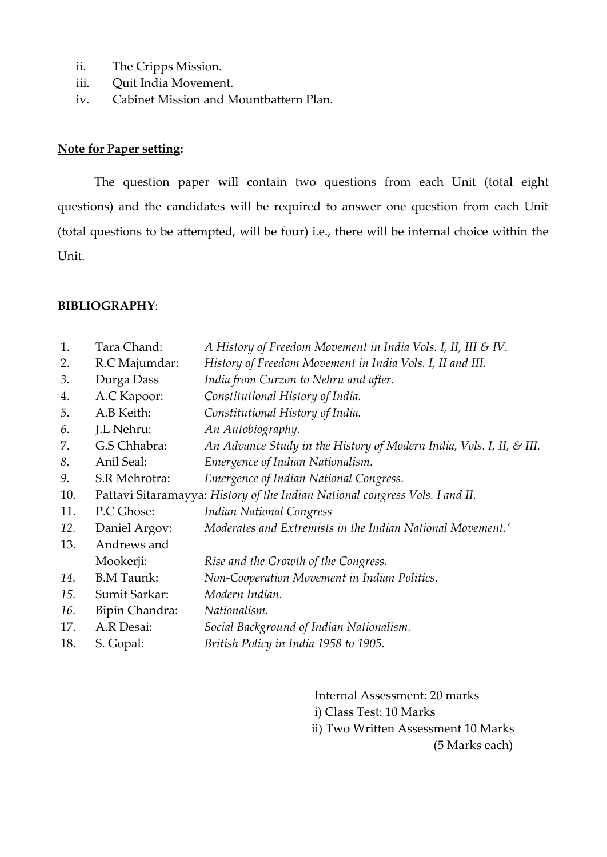- ii. The Cripps Mission.
- iii. Quit India Movement.
- iv. Cabinet Mission and Mountbattern Plan.

The question paper will contain two questions from each Unit (total eight questions) and the candidates will be required to answer one question from each Unit (total questions to be attempted, will be four) i.e., there will be internal choice within the Unit.

#### **BIBLIOGRAPHY**:

| 1.  | Tara Chand:                                                                  | A History of Freedom Movement in India Vols. I, II, III & IV.        |  |  |  |
|-----|------------------------------------------------------------------------------|----------------------------------------------------------------------|--|--|--|
| 2.  | R.C Majumdar:                                                                | History of Freedom Movement in India Vols. I, II and III.            |  |  |  |
| 3.  | Durga Dass                                                                   | India from Curzon to Nehru and after.                                |  |  |  |
| 4.  | A.C Kapoor:                                                                  | Constitutional History of India.                                     |  |  |  |
| 5.  | A.B Keith:                                                                   | Constitutional History of India.                                     |  |  |  |
| 6.  | J.L Nehru:                                                                   | An Autobiography.                                                    |  |  |  |
| 7.  | G.S Chhabra:                                                                 | An Advance Study in the History of Modern India, Vols. I, II, & III. |  |  |  |
| 8.  | Anil Seal:                                                                   | Emergence of Indian Nationalism.                                     |  |  |  |
| 9.  | S.R Mehrotra:                                                                | Emergence of Indian National Congress.                               |  |  |  |
| 10. | Pattavi Sitaramayya: History of the Indian National congress Vols. I and II. |                                                                      |  |  |  |
| 11. | P.C Ghose:                                                                   | <b>Indian National Congress</b>                                      |  |  |  |
| 12. | Daniel Argov:                                                                | Moderates and Extremists in the Indian National Movement.'           |  |  |  |
| 13. | Andrews and                                                                  |                                                                      |  |  |  |
|     | Mookerji:                                                                    | Rise and the Growth of the Congress.                                 |  |  |  |
| 14. | <b>B.M Taunk:</b>                                                            | Non-Cooperation Movement in Indian Politics.                         |  |  |  |
| 15. | Sumit Sarkar:                                                                | Modern Indian.                                                       |  |  |  |
| 16. | Bipin Chandra:                                                               | Nationalism.                                                         |  |  |  |
| 17. | A.R Desai:                                                                   | Social Background of Indian Nationalism.                             |  |  |  |
| 18. | S. Gopal:                                                                    | British Policy in India 1958 to 1905.                                |  |  |  |
|     |                                                                              |                                                                      |  |  |  |

Internal Assessment: 20 marks i) Class Test: 10 Marks ii) Two Written Assessment 10 Marks (5 Marks each)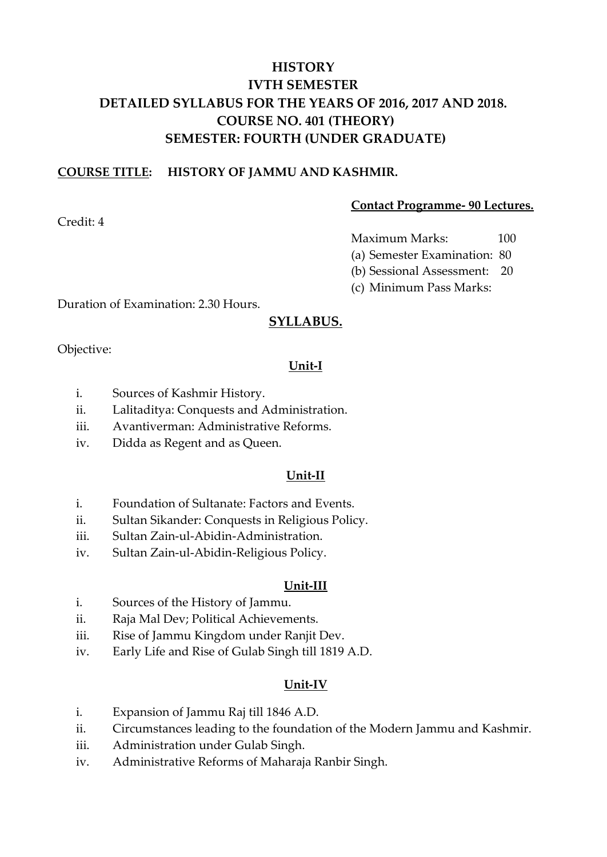# **HISTORY IVTH SEMESTER DETAILED SYLLABUS FOR THE YEARS OF 2016, 2017 AND 2018. COURSE NO. 401 (THEORY) SEMESTER: FOURTH (UNDER GRADUATE)**

## **COURSE TITLE: HISTORY OF JAMMU AND KASHMIR.**

**Contact Programme- 90 Lectures.**

Maximum Marks: 100

(a) Semester Examination: 80

(b) Sessional Assessment: 20

(c) Minimum Pass Marks:

Duration of Examination: 2.30 Hours.

# **SYLLABUS.**

Objective:

## **Unit-I**

- i. Sources of Kashmir History.
- ii. Lalitaditya: Conquests and Administration.
- iii. Avantiverman: Administrative Reforms.
- iv. Didda as Regent and as Queen.

#### **Unit-II**

- i. Foundation of Sultanate: Factors and Events.
- ii. Sultan Sikander: Conquests in Religious Policy.
- iii. Sultan Zain-ul-Abidin-Administration.
- iv. Sultan Zain-ul-Abidin-Religious Policy.

#### **Unit-III**

- i. Sources of the History of Jammu.
- ii. Raja Mal Dev; Political Achievements.
- iii. Rise of Jammu Kingdom under Ranjit Dev.
- iv. Early Life and Rise of Gulab Singh till 1819 A.D.

#### **Unit-IV**

- i. Expansion of Jammu Raj till 1846 A.D.
- ii. Circumstances leading to the foundation of the Modern Jammu and Kashmir.
- iii. Administration under Gulab Singh.
- iv. Administrative Reforms of Maharaja Ranbir Singh.

Credit: 4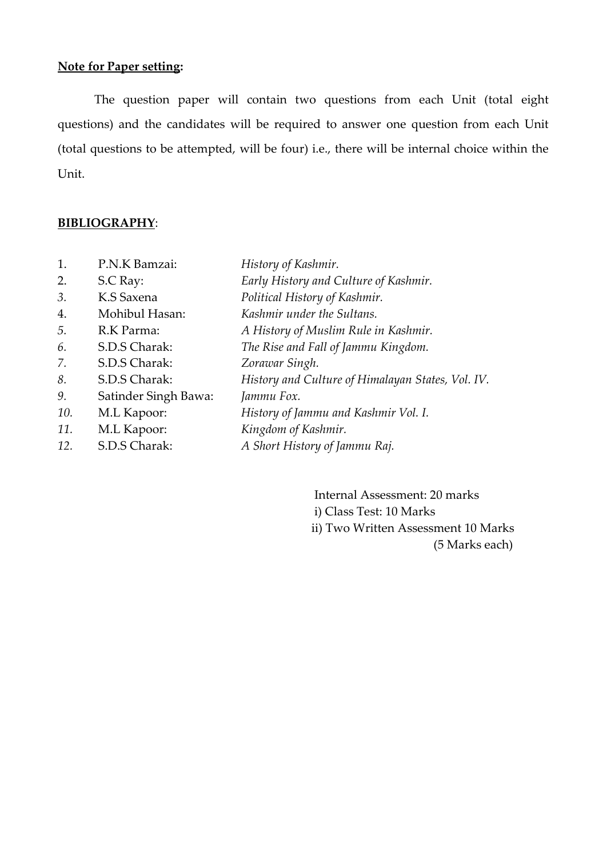The question paper will contain two questions from each Unit (total eight questions) and the candidates will be required to answer one question from each Unit (total questions to be attempted, will be four) i.e., there will be internal choice within the Unit.

#### **BIBLIOGRAPHY**:

| 1.  | P.N.K Bamzai:        | History of Kashmir.                               |
|-----|----------------------|---------------------------------------------------|
| 2.  | S.C Ray:             | Early History and Culture of Kashmir.             |
| 3.  | K.S Saxena           | Political History of Kashmir.                     |
| 4.  | Mohibul Hasan:       | Kashmir under the Sultans.                        |
| 5.  | R.K Parma:           | A History of Muslim Rule in Kashmir.              |
| 6.  | S.D.S Charak:        | The Rise and Fall of Jammu Kingdom.               |
| 7.  | S.D.S Charak:        | Zorawar Singh.                                    |
| 8.  | S.D.S Charak:        | History and Culture of Himalayan States, Vol. IV. |
| 9.  | Satinder Singh Bawa: | Jammu Fox.                                        |
| 10. | M.L Kapoor:          | History of Jammu and Kashmir Vol. I.              |
| 11. | M.L Kapoor:          | Kingdom of Kashmir.                               |
| 12. | S.D.S Charak:        | A Short History of Jammu Raj.                     |

Internal Assessment: 20 marks i) Class Test: 10 Marks ii) Two Written Assessment 10 Marks (5 Marks each)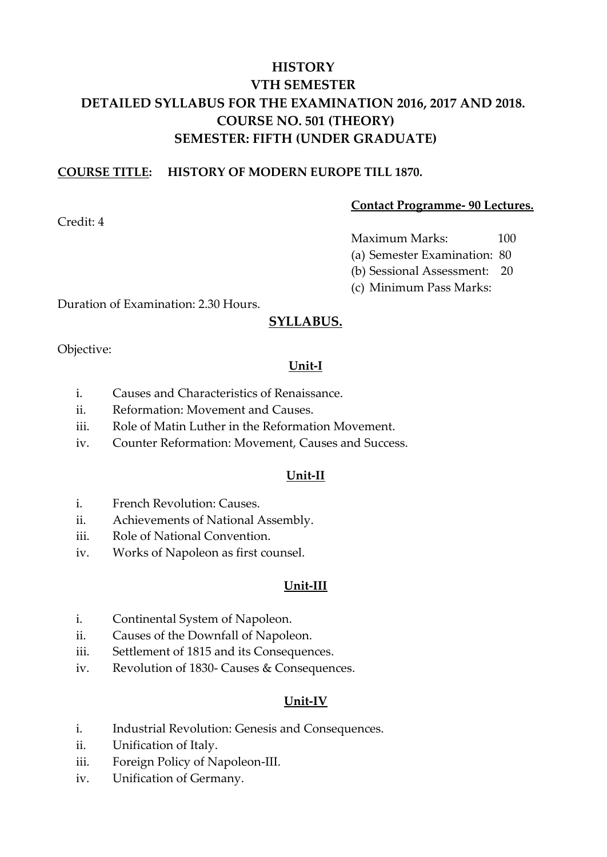# **HISTORY VTH SEMESTER DETAILED SYLLABUS FOR THE EXAMINATION 2016, 2017 AND 2018. COURSE NO. 501 (THEORY) SEMESTER: FIFTH (UNDER GRADUATE)**

#### **COURSE TITLE: HISTORY OF MODERN EUROPE TILL 1870.**

Credit: 4

#### **Contact Programme- 90 Lectures.**

Maximum Marks: 100

(a) Semester Examination: 80

(b) Sessional Assessment: 20

(c) Minimum Pass Marks:

Duration of Examination: 2.30 Hours.

# **SYLLABUS.**

Objective:

# **Unit-I**

- i. Causes and Characteristics of Renaissance.
- ii. Reformation: Movement and Causes.
- iii. Role of Matin Luther in the Reformation Movement.
- iv. Counter Reformation: Movement, Causes and Success.

# **Unit-II**

- i. French Revolution: Causes.
- ii. Achievements of National Assembly.
- iii. Role of National Convention.
- iv. Works of Napoleon as first counsel.

# **Unit-III**

- i. Continental System of Napoleon.
- ii. Causes of the Downfall of Napoleon.
- iii. Settlement of 1815 and its Consequences.
- iv. Revolution of 1830- Causes & Consequences.

# **Unit-IV**

- i. Industrial Revolution: Genesis and Consequences.
- ii. Unification of Italy.
- iii. Foreign Policy of Napoleon-III.
- iv. Unification of Germany.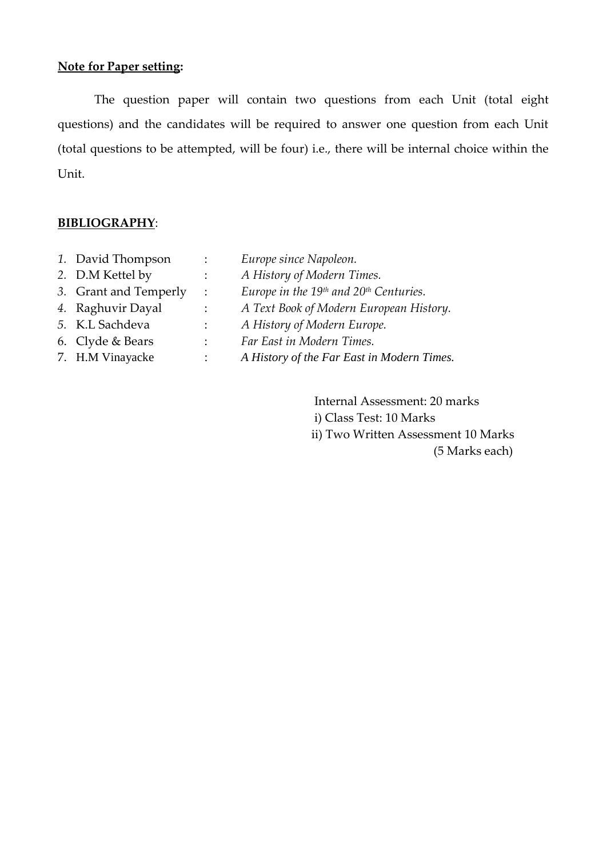The question paper will contain two questions from each Unit (total eight questions) and the candidates will be required to answer one question from each Unit (total questions to be attempted, will be four) i.e., there will be internal choice within the Unit.

#### **BIBLIOGRAPHY**:

- *1.* David Thompson : *Europe since Napoleon.*
- *2.* D.M Kettel by : *A History of Modern Times.*
- *3.* Grant and Temperly : *Europe in the 19th and 20th Centuries.*
- *4.* Raghuvir Dayal : *A Text Book of Modern European History.*
- *5.* K.L Sachdeva : *A History of Modern Europe.*
- 6. Clyde & Bears : *Far East in Modern Times.*
- 7. H.M Vinayacke : *A History of the Far East in Modern Times.*
	- Internal Assessment: 20 marks i) Class Test: 10 Marks ii) Two Written Assessment 10 Marks (5 Marks each)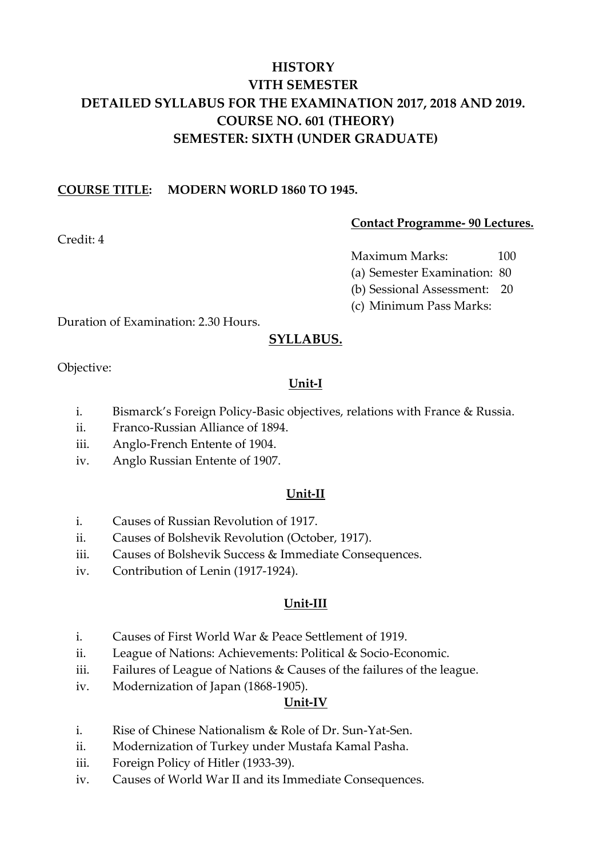# **HISTORY VITH SEMESTER DETAILED SYLLABUS FOR THE EXAMINATION 2017, 2018 AND 2019. COURSE NO. 601 (THEORY) SEMESTER: SIXTH (UNDER GRADUATE)**

## **COURSE TITLE: MODERN WORLD 1860 TO 1945.**

#### **Contact Programme- 90 Lectures.**

Credit: 4

Maximum Marks: 100

(a) Semester Examination: 80

(b) Sessional Assessment: 20

(c) Minimum Pass Marks:

Duration of Examination: 2.30 Hours.

# **SYLLABUS.**

Objective:

## **Unit-I**

- i. Bismarck's Foreign Policy-Basic objectives, relations with France & Russia.
- ii. Franco-Russian Alliance of 1894.
- iii. Anglo-French Entente of 1904.
- iv. Anglo Russian Entente of 1907.

#### **Unit-II**

- i. Causes of Russian Revolution of 1917.
- ii. Causes of Bolshevik Revolution (October, 1917).
- iii. Causes of Bolshevik Success & Immediate Consequences.
- iv. Contribution of Lenin (1917-1924).

#### **Unit-III**

- i. Causes of First World War & Peace Settlement of 1919.
- ii. League of Nations: Achievements: Political & Socio-Economic.
- iii. Failures of League of Nations & Causes of the failures of the league.
- iv. Modernization of Japan (1868-1905).

#### **Unit-IV**

- i. Rise of Chinese Nationalism & Role of Dr. Sun-Yat-Sen.
- ii. Modernization of Turkey under Mustafa Kamal Pasha.
- iii. Foreign Policy of Hitler (1933-39).
- iv. Causes of World War II and its Immediate Consequences.